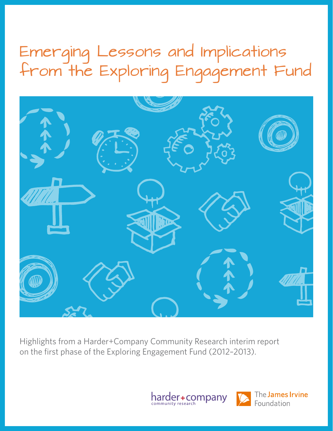## Emerging Lessons and Implications from the Exploring Engagement Fund



Highlights from a Harder+Company Community Research interim report on the first phase of the Exploring Engagement Fund (2012–2013).



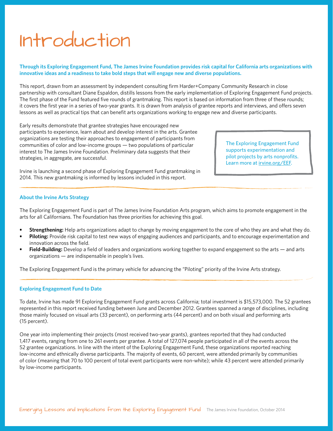## Introduction

### **Through its Exploring Engagement Fund, The James Irvine Foundation provides risk capital for California arts organizations with innovative ideas and a readiness to take bold steps that will engage new and diverse populations.**

This report, drawn from an assessment by independent consulting firm Harder+Company Community Research in close partnership with consultant Diane Espaldon, distills lessons from the early implementation of Exploring Engagement Fund projects. The first phase of the Fund featured five rounds of grantmaking. This report is based on information from three of these rounds; it covers the first year in a series of two-year grants. It is drawn from analysis of grantee reports and interviews, and offers seven lessons as well as practical tips that can benefit arts organizations working to engage new and diverse participants.

Early results demonstrate that grantee strategies have encouraged new participants to experience, learn about and develop interest in the arts. Grantee organizations are testing their approaches to engagement of participants from communities of color and low-income groups — two populations of particular interest to The James Irvine Foundation. Preliminary data suggests that their strategies, in aggregate, are successful.

Irvine is launching a second phase of Exploring Engagement Fund grantmaking in 2014. This new grantmaking is informed by lessons included in this report.

The Exploring Engagement Fund supports experimentation and pilot projects by arts nonprofits. Learn more at [irvine.org/EEF](http://irvine.org/EEF).

### **About the Irvine Arts Strategy**

The Exploring Engagement Fund is part of The James Irvine Foundation Arts program, which aims to promote engagement in the arts for all Californians. The Foundation has three priorities for achieving this goal.

- **• Strengthening:** Help arts organizations adapt to change by moving engagement to the core of who they are and what they do.
- **• Piloting:** Provide risk capital to test new ways of engaging audiences and participants, and to encourage experimentation and innovation across the field.
- **• Field-Building:** Develop a field of leaders and organizations working together to expand engagement so the arts and arts organizations — are indispensable in people's lives.

The Exploring Engagement Fund is the primary vehicle for advancing the "Piloting" priority of the Irvine Arts strategy.

#### **Exploring Engagement Fund to Date**

To date, Irvine has made 91 Exploring Engagement Fund grants across California; total investment is \$15,573,000. The 52 grantees represented in this report received funding between June and December 2012. Grantees spanned a range of disciplines, including those mainly focused on visual arts (33 percent), on performing arts (44 percent) and on both visual and performing arts (15 percent).

One year into implementing their projects (most received two-year grants), grantees reported that they had conducted 1,417 events, ranging from one to 261 events per grantee. A total of 127,074 people participated in all of the events across the 52 grantee organizations. In line with the intent of the Exploring Engagement Fund, these organizations reported reaching low-income and ethnically diverse participants. The majority of events, 60 percent, were attended primarily by communities of color (meaning that 70 to 100 percent of total event participants were non-white); while 43 percent were attended primarily by low-income participants.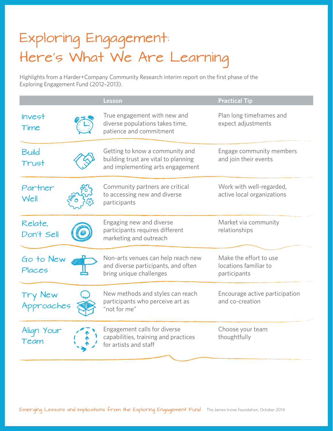## Exploring Engagement: Here's What We Are Learning

Highlights from a Harder+Company Community Research interim report on the first phase of the Exploring Engagement Fund (2012–2013).

|                       | Lesson                                                                                                      | <b>Practical Tip</b>                                            |
|-----------------------|-------------------------------------------------------------------------------------------------------------|-----------------------------------------------------------------|
| <b>Invest</b><br>Time | True engagement with new and<br>diverse populations takes time,<br>patience and commitment                  | Plan long timeframes and<br>expect adjustments                  |
| Build<br>Trust        | Getting to know a community and<br>building trust are vital to planning<br>and implementing arts engagement | Engage community members<br>and join their events               |
| Partner<br>Well       | Community partners are critical<br>to accessing new and diverse<br>participants                             | Work with well-regarded,<br>active local organizations          |
| Relate,<br>Don't Sell | Engaging new and diverse<br>participants requires different<br>marketing and outreach                       | Market via community<br>relationships                           |
| Go to New<br>Places   | Non-arts venues can help reach new<br>and diverse participants, and often<br>bring unique challenges        | Make the effort to use<br>locations familiar to<br>participants |
| Try New<br>Approaches | New methods and styles can reach<br>participants who perceive art as<br>"not for me"                        | Encourage active participation<br>and co-creation               |
| Align Your<br>Team    | Engagement calls for diverse<br>capabilities, training and practices<br>for artists and staff               | Choose your team<br>thoughtfully                                |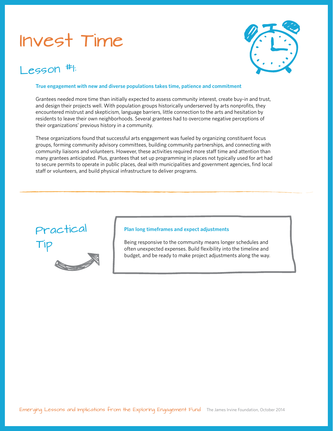## Invest Time

### $L$  esson  $#$ :



#### **True engagement with new and diverse populations takes time, patience and commitment**

Grantees needed more time than initially expected to assess community interest, create buy-in and trust, and design their projects well. With population groups historically underserved by arts nonprofits, they encountered mistrust and skepticism, language barriers, little connection to the arts and hesitation by residents to leave their own neighborhoods. Several grantees had to overcome negative perceptions of their organizations' previous history in a community.

These organizations found that successful arts engagement was fueled by organizing constituent focus groups, forming community advisory committees, building community partnerships, and connecting with community liaisons and volunteers. However, these activities required more staff time and attention than many grantees anticipated. Plus, grantees that set up programming in places not typically used for art had to secure permits to operate in public places, deal with municipalities and government agencies, find local staff or volunteers, and build physical infrastructure to deliver programs.



### **Plan long timeframes and expect adjustments**

Being responsive to the community means longer schedules and often unexpected expenses. Build flexibility into the timeline and budget, and be ready to make project adjustments along the way.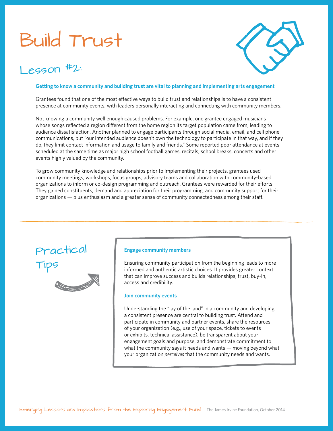## Build Trust





### **Getting to know a community and building trust are vital to planning and implementing arts engagement**

Grantees found that one of the most effective ways to build trust and relationships is to have a consistent presence at community events, with leaders personally interacting and connecting with community members.

Not knowing a community well enough caused problems. For example, one grantee engaged musicians whose songs reflected a region different from the home region its target population came from, leading to audience dissatisfaction. Another planned to engage participants through social media, email, and cell phone communications, but "our intended audience doesn't own the technology to participate in that way, and if they do, they limit contact information and usage to family and friends." Some reported poor attendance at events scheduled at the same time as major high school football games, recitals, school breaks, concerts and other events highly valued by the community.

To grow community knowledge and relationships prior to implementing their projects, grantees used community meetings, workshops, focus groups, advisory teams and collaboration with community-based organizations to inform or co-design programming and outreach. Grantees were rewarded for their efforts. They gained constituents, demand and appreciation for their programming, and community support for their organizations — plus enthusiasm and a greater sense of community connectedness among their staff.



#### **Engage community members**

Ensuring community participation from the beginning leads to more informed and authentic artistic choices. It provides greater context that can improve success and builds relationships, trust, buy-in, access and credibility.

#### **Join community events**

Understanding the "lay of the land" in a community and developing a consistent presence are central to building trust. Attend and participate in community and partner events, share the resources of your organization (e.g., use of your space, tickets to events or exhibits, technical assistance), be transparent about your engagement goals and purpose, and demonstrate commitment to what the community says it needs and wants — moving beyond what your organization *perceives* that the community needs and wants.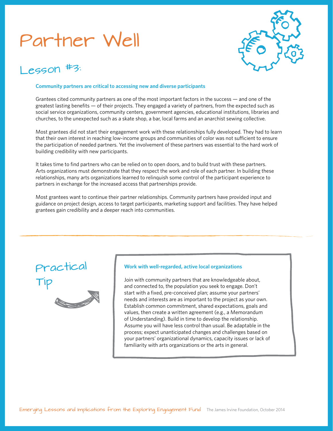## Partner Well



### $PGSON$

#### **Community partners are critical to accessing new and diverse participants**

Grantees cited community partners as one of the most important factors in the success — and one of the greatest lasting benefits — of their projects. They engaged a variety of partners, from the expected such as social service organizations, community centers, government agencies, educational institutions, libraries and churches, to the unexpected such as a skate shop, a bar, local farms and an anarchist sewing collective.

Most grantees did not start their engagement work with these relationships fully developed. They had to learn that their own interest in reaching low-income groups and communities of color was not sufficient to ensure the participation of needed partners. Yet the involvement of these partners was essential to the hard work of building credibility with new participants.

It takes time to find partners who can be relied on to open doors, and to build trust with these partners. Arts organizations must demonstrate that they respect the work and role of each partner. In building these relationships, many arts organizations learned to relinquish some control of the participant experience to partners in exchange for the increased access that partnerships provide.

Most grantees want to continue their partner relationships. Community partners have provided input and guidance on project design, access to target participants, marketing support and facilities. They have helped grantees gain credibility and a deeper reach into communities.

### Practical Tip



### **Work with well-regarded, active local organizations**

Join with community partners that are knowledgeable about, and connected to, the population you seek to engage. Don't start with a fixed, pre-conceived plan; assume your partners' needs and interests are as important to the project as your own. Establish common commitment, shared expectations, goals and values, then create a written agreement (e.g., a Memorandum of Understanding). Build in time to develop the relationship. Assume you will have less control than usual. Be adaptable in the process; expect unanticipated changes and challenges based on your partners' organizational dynamics, capacity issues or lack of familiarity with arts organizations or the arts in general.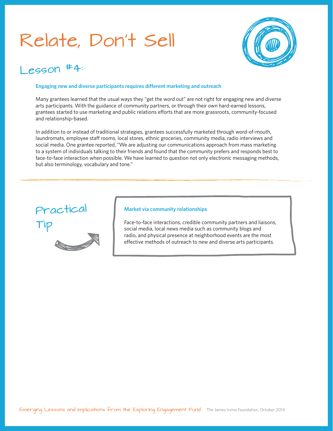## Relate, Don't Sell



### $L$  eggon  $#4$ :

### **Engaging new and diverse participants requires different marketing and outreach**

Many grantees learned that the usual ways they "get the word out" are not right for engaging new and diverse arts participants. With the guidance of community partners, or through their own hard-earned lessons, grantees started to use marketing and public relations efforts that are more grassroots, community-focused and relationship-based.

In addition to or instead of traditional strategies, grantees successfully marketed through word-of-mouth, laundromats, employee staff rooms, local stores, ethnic groceries, community media, radio interviews and social media. One grantee reported, "We are adjusting our communications approach from mass marketing to a system of individuals talking to their friends and found that the community prefers and responds best to face-to-face interaction when possible. We have learned to question not only electronic messaging methods, but also terminology, vocabulary and tone."



#### **Market via community relationships**

Face-to-face interactions, credible community partners and liaisons, social media, local news media such as community blogs and radio, and physical presence at neighborhood events are the most effective methods of outreach to new and diverse arts participants.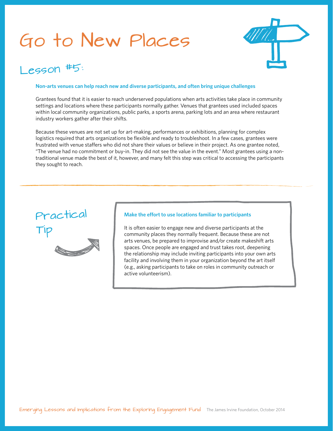## Go to New Places



### $eson$ #5:

### **Non-arts venues can help reach new and diverse participants, and often bring unique challenges**

Grantees found that it is easier to reach underserved populations when arts activities take place in community settings and locations where these participants normally gather. Venues that grantees used included spaces within local community organizations, public parks, a sports arena, parking lots and an area where restaurant industry workers gather after their shifts.

Because these venues are not set up for art-making, performances or exhibitions, planning for complex logistics required that arts organizations be flexible and ready to troubleshoot. In a few cases, grantees were frustrated with venue staffers who did not share their values or believe in their project. As one grantee noted, "The venue had no commitment or buy-in. They did not see the value in the event." Most grantees using a nontraditional venue made the best of it, however, and many felt this step was critical to accessing the participants they sought to reach.

# Practical Tip

### **Make the effort to use locations familiar to participants**

It is often easier to engage new and diverse participants at the community places they normally frequent. Because these are not arts venues, be prepared to improvise and/or create makeshift arts spaces. Once people are engaged and trust takes root, deepening the relationship may include inviting participants into your own arts facility and involving them in your organization beyond the art itself (e.g., asking participants to take on roles in community outreach or active volunteerism).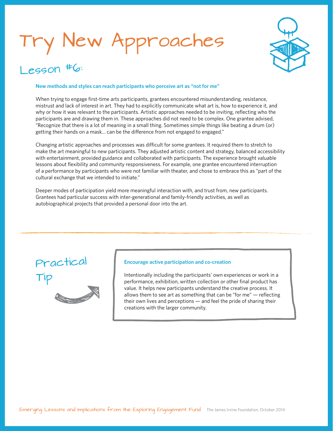# New Approaches



### $eson$ # $6:$

### **New methods and styles can reach participants who perceive art as "not for me"**

When trying to engage first-time arts participants, grantees encountered misunderstanding, resistance, mistrust and lack of interest in art. They had to explicitly communicate what art is, how to experience it, and why or how it was relevant to the participants. Artistic approaches needed to be inviting, reflecting who the participants are and drawing them in. These approaches did not need to be complex. One grantee advised, "Recognize that there is a lot of meaning in a small thing. Sometimes simple things like beating a drum (or) getting their hands on a mask... can be the difference from not engaged to engaged."

Changing artistic approaches and processes was difficult for some grantees. It required them to stretch to make the art meaningful to new participants. They adjusted artistic content and strategy, balanced accessibility with entertainment, provided guidance and collaborated with participants. The experience brought valuable lessons about flexibility and community responsiveness. For example, one grantee encountered interruption of a performance by participants who were not familiar with theater, and chose to embrace this as "part of the cultural exchange that we intended to initiate."

Deeper modes of participation yield more meaningful interaction with, and trust from, new participants. Grantees had particular success with inter-generational and family-friendly activities, as well as autobiographical projects that provided a personal door into the art.

### Practical Tip



### **Encourage active participation and co-creation**

Intentionally including the participants' own experiences or work in a performance, exhibition, written collection or other final product has value. It helps new participants understand the creative process. It allows them to see art as something that can be "for me" — reflecting their own lives and perceptions — and feel the pride of sharing their creations with the larger community.